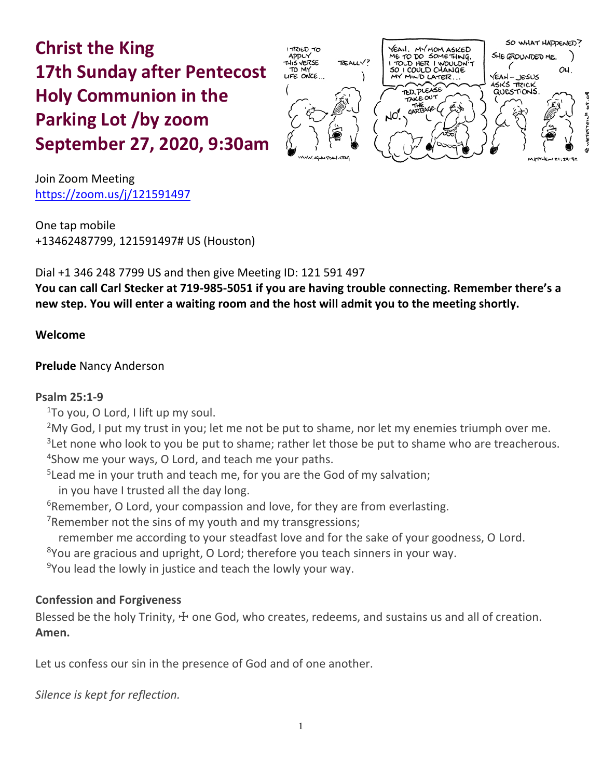# **Christ the King 17th Sunday after Pentecost Holy Communion in the Parking Lot /by zoom September 27, 2020, 9:30am**



Join Zoom Meeting https://zoom.us/j/121591497

One tap mobile +13462487799, 121591497# US (Houston)

Dial +1 346 248 7799 US and then give Meeting ID: 121 591 497

**You can call Carl Stecker at 719-985-5051 if you are having trouble connecting. Remember there's a new step. You will enter a waiting room and the host will admit you to the meeting shortly.** 

# **Welcome**

# **Prelude** Nancy Anderson

# **Psalm 25:1-9**

 $1$ To you, O Lord, I lift up my soul.

 $2$ My God, I put my trust in you; let me not be put to shame, nor let my enemies triumph over me.  $3$ Let none who look to you be put to shame; rather let those be put to shame who are treacherous. 4 Show me your ways, O Lord, and teach me your paths.

<sup>5</sup> Lead me in your truth and teach me, for you are the God of my salvation;

in you have I trusted all the day long.

<sup>6</sup>Remember, O Lord, your compassion and love, for they are from everlasting.

<sup>7</sup>Remember not the sins of my youth and my transgressions;

remember me according to your steadfast love and for the sake of your goodness, O Lord.

 $8$ You are gracious and upright, O Lord; therefore you teach sinners in your way.

 $9$ You lead the lowly in justice and teach the lowly your way.

# **Confession and Forgiveness**

Blessed be the holy Trinity,  $\pm$  one God, who creates, redeems, and sustains us and all of creation. **Amen.**

Let us confess our sin in the presence of God and of one another.

*Silence is kept for reflection.*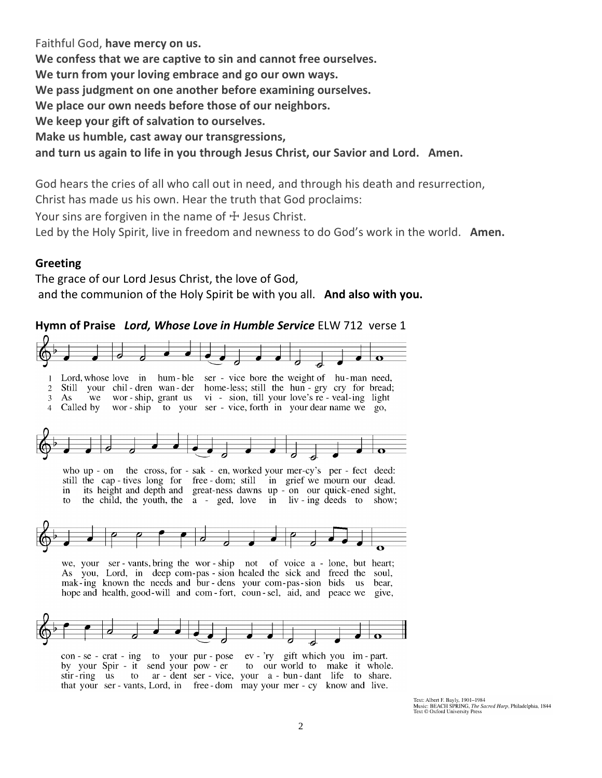Faithful God, **have mercy on us. We confess that we are captive to sin and cannot free ourselves. We turn from your loving embrace and go our own ways. We pass judgment on one another before examining ourselves. We place our own needs before those of our neighbors. We keep your gift of salvation to ourselves. Make us humble, cast away our transgressions, and turn us again to life in you through Jesus Christ, our Savior and Lord. Amen.**

God hears the cries of all who call out in need, and through his death and resurrection, Christ has made us his own. Hear the truth that God proclaims:

Your sins are forgiven in the name of  $\pm$  Jesus Christ.

Led by the Holy Spirit, live in freedom and newness to do God's work in the world. **Amen.**

#### **Greeting**

The grace of our Lord Jesus Christ, the love of God, and the communion of the Holy Spirit be with you all. **And also with you.**

#### **Hymn of Praise** *Lord, Whose Love in Humble Service* ELW 712 verse 1



by your Spir - it send your pow - er to our world to make it whole. stir-ring us to ar-dent ser-vice, your a-bun-dant life to share. that your ser - vants, Lord, in free - dom may your mer - cy know and live.

Text: Albert F. Bayly, 1901–1984<br>Music: BEACH SPRING, The Sacred Harp, Philadelphia, 1844<br>Text © Oxford University Press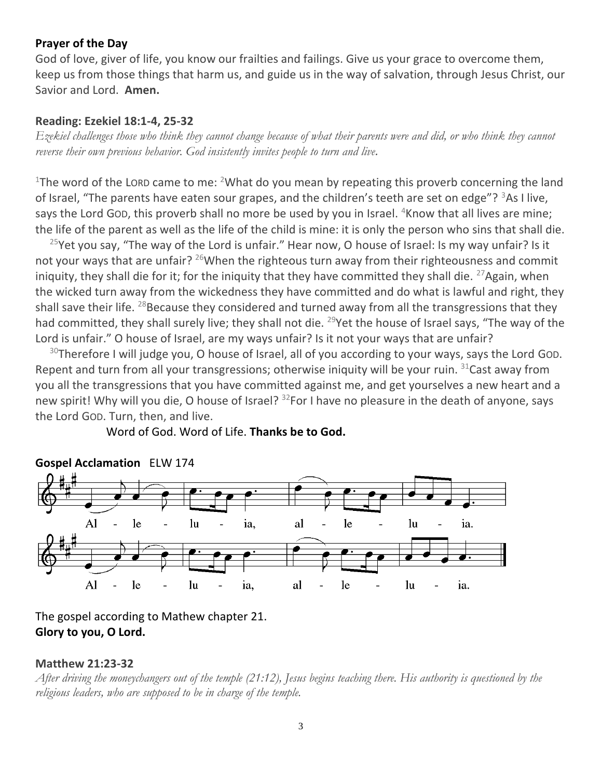## **Prayer of the Day**

God of love, giver of life, you know our frailties and failings. Give us your grace to overcome them, keep us from those things that harm us, and guide us in the way of salvation, through Jesus Christ, our Savior and Lord. **Amen.**

## **Reading: Ezekiel 18:1-4, 25-32**

*Ezekiel challenges those who think they cannot change because of what their parents were and did, or who think they cannot reverse their own previous behavior. God insistently invites people to turn and live.*

<sup>1</sup>The word of the LORD came to me: <sup>2</sup>What do you mean by repeating this proverb concerning the land of Israel, "The parents have eaten sour grapes, and the children's teeth are set on edge"?  $3$ As I live, says the Lord GOD, this proverb shall no more be used by you in Israel. <sup>4</sup>Know that all lives are mine; the life of the parent as well as the life of the child is mine: it is only the person who sins that shall die.

 $25$ Yet you say, "The way of the Lord is unfair." Hear now, O house of Israel: Is my way unfair? Is it not your ways that are unfair? <sup>26</sup>When the righteous turn away from their righteousness and commit iniquity, they shall die for it; for the iniquity that they have committed they shall die.  $^{27}$ Again, when the wicked turn away from the wickedness they have committed and do what is lawful and right, they shall save their life. <sup>28</sup>Because they considered and turned away from all the transgressions that they had committed, they shall surely live; they shall not die. <sup>29</sup>Yet the house of Israel says, "The way of the Lord is unfair." O house of Israel, are my ways unfair? Is it not your ways that are unfair?

 $30$ Therefore I will judge you, O house of Israel, all of you according to your ways, says the Lord God. Repent and turn from all your transgressions; otherwise iniquity will be your ruin.  $31$ Cast away from you all the transgressions that you have committed against me, and get yourselves a new heart and a new spirit! Why will you die, O house of Israel? <sup>32</sup>For I have no pleasure in the death of anyone, says the Lord GOD. Turn, then, and live.



Word of God. Word of Life. **Thanks be to God.**

The gospel according to Mathew chapter 21. **Glory to you, O Lord.**

## **Matthew 21:23-32**

*After driving the moneychangers out of the temple (21:12), Jesus begins teaching there. His authority is questioned by the religious leaders, who are supposed to be in charge of the temple.*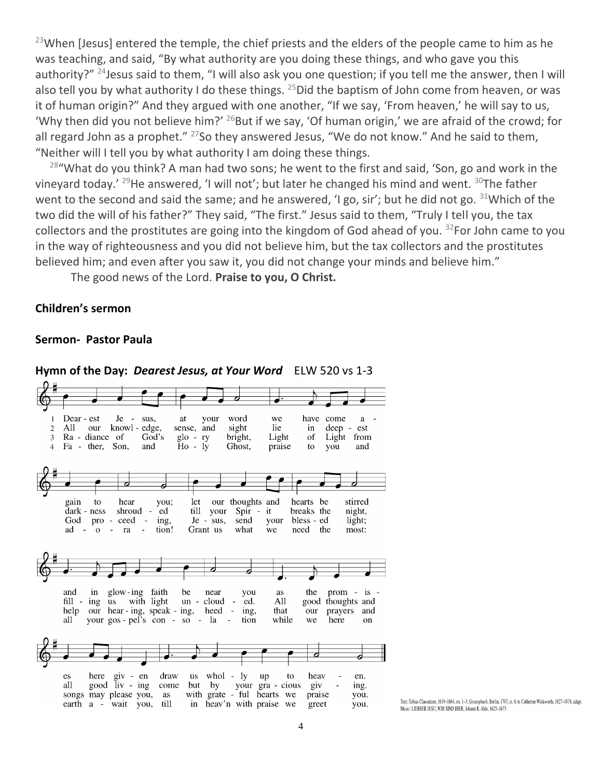$^{23}$ When [Jesus] entered the temple, the chief priests and the elders of the people came to him as he was teaching, and said, "By what authority are you doing these things, and who gave you this authority?" <sup>24</sup> Jesus said to them, "I will also ask you one question; if you tell me the answer, then I will also tell you by what authority I do these things.  $^{25}$  Did the baptism of John come from heaven, or was it of human origin?" And they argued with one another, "If we say, 'From heaven,' he will say to us, 'Why then did you not believe him?'  $^{26}$ But if we say, 'Of human origin,' we are afraid of the crowd; for all regard John as a prophet."  $27$ So they answered Jesus, "We do not know." And he said to them, "Neither will I tell you by what authority I am doing these things.

 $28$ "What do you think? A man had two sons; he went to the first and said, 'Son, go and work in the vineyard today.' <sup>29</sup>He answered, 'I will not'; but later he changed his mind and went. <sup>30</sup>The father went to the second and said the same; and he answered, 'I go, sir'; but he did not go. <sup>31</sup>Which of the two did the will of his father?" They said, "The first." Jesus said to them, "Truly I tell you, the tax collectors and the prostitutes are going into the kingdom of God ahead of you.  $32$ For John came to you in the way of righteousness and you did not believe him, but the tax collectors and the prostitutes believed him; and even after you saw it, you did not change your minds and believe him."

The good news of the Lord. **Praise to you, O Christ.**

#### **Children's sermon**

#### **Sermon- Pastor Paula**



**Hymn of the Day:** *Dearest Jesus, at Your Word* ELW 520 vs 1-3

Text: Tobias Clausnitzer, 1619-1684, sts. 1-3: Gesangbuch, Berlin, 1707, st. 4: tr. Catherine Winkworth, 1827-1878, adapt. Music: LIEBSER JESU, WIR SIND HIER, Johann R. Ahle, 1625-1673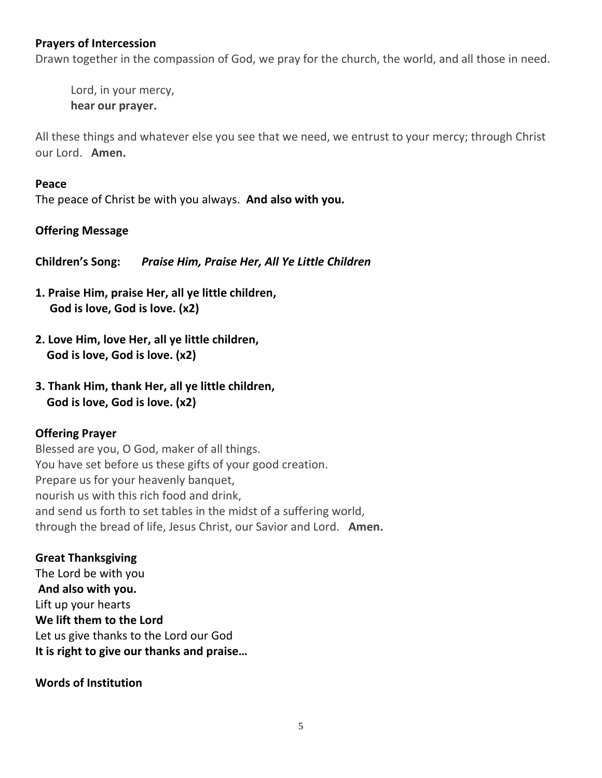## **Prayers of Intercession**

Drawn together in the compassion of God, we pray for the church, the world, and all those in need.

Lord, in your mercy, **hear our prayer.**

All these things and whatever else you see that we need, we entrust to your mercy; through Christ our Lord. **Amen.**

#### **Peace**

The peace of Christ be with you always. **And also with you.**

## **Offering Message**

**Children's Song:** *Praise Him, Praise Her, All Ye Little Children* 

- **1. Praise Him, praise Her, all ye little children, God is love, God is love. (x2)**
- **2. Love Him, love Her, all ye little children, God is love, God is love. (x2)**
- **3. Thank Him, thank Her, all ye little children, God is love, God is love. (x2)**

## **Offering Prayer**

Blessed are you, O God, maker of all things. You have set before us these gifts of your good creation. Prepare us for your heavenly banquet, nourish us with this rich food and drink, and send us forth to set tables in the midst of a suffering world, through the bread of life, Jesus Christ, our Savior and Lord. **Amen.**

**Great Thanksgiving**  The Lord be with you **And also with you.** Lift up your hearts **We lift them to the Lord** Let us give thanks to the Lord our God **It is right to give our thanks and praise…** 

## **Words of Institution**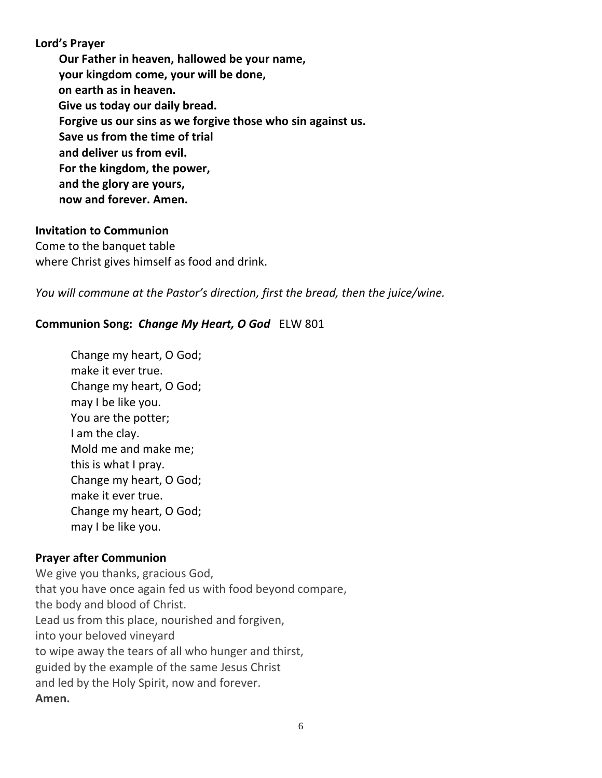**Lord's Prayer Our Father in heaven, hallowed be your name, your kingdom come, your will be done, on earth as in heaven. Give us today our daily bread. Forgive us our sins as we forgive those who sin against us. Save us from the time of trial and deliver us from evil. For the kingdom, the power, and the glory are yours, now and forever. Amen.**

#### **Invitation to Communion**

Come to the banquet table where Christ gives himself as food and drink.

*You will commune at the Pastor's direction, first the bread, then the juice/wine.*

## **Communion Song:** *Change My Heart, O God*ELW 801

Change my heart, O God; make it ever true. Change my heart, O God; may I be like you. You are the potter; I am the clay. Mold me and make me; this is what I pray. Change my heart, O God; make it ever true. Change my heart, O God; may I be like you.

## **Prayer after Communion**

We give you thanks, gracious God, that you have once again fed us with food beyond compare, the body and blood of Christ. Lead us from this place, nourished and forgiven, into your beloved vineyard to wipe away the tears of all who hunger and thirst, guided by the example of the same Jesus Christ and led by the Holy Spirit, now and forever. **Amen.**